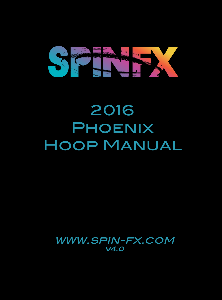# SSIND

2016 **PHOENIX** Hoop Manual

www.spin-fx.com v4.0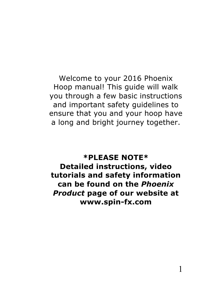Welcome to your 2016 Phoenix Hoop manual! This guide will walk you through a few basic instructions and important safety guidelines to ensure that you and your hoop have a long and bright journey together.

**\*PLEASE NOTE\* Detailed instructions, video tutorials and safety information can be found on the** *Phoenix Product* **page of our website at www.spin-fx.com**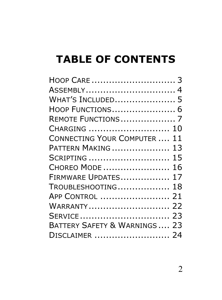# **TABLE OF CONTENTS**

| ASSEMBLY 4                             |
|----------------------------------------|
| WHAT'S INCLUDED 5                      |
| HOOP FUNCTIONS 6                       |
| REMOTE FUNCTIONS7                      |
| CHARGING  10                           |
| <b>CONNECTING YOUR COMPUTER </b><br>11 |
| PATTERN MAKING  13                     |
| SCRIPTING  15                          |
| CHOREO MODE  16                        |
| FIRMWARE UPDATES<br>17                 |
| TROUBLESHOOTING 18                     |
| APP CONTROL  21                        |
| WARRANTY 22                            |
| SERVICE 23                             |
| BATTERY SAFETY & WARNINGS  23          |
| DISCLAIMER  24                         |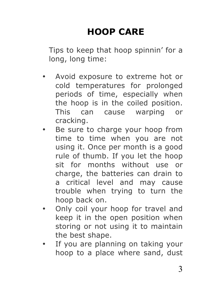# **HOOP CARE**

Tips to keep that hoop spinnin' for a long, long time:

- Avoid exposure to extreme hot or cold temperatures for prolonged periods of time, especially when the hoop is in the coiled position. This can cause warping or cracking.
- Be sure to charge your hoop from time to time when you are not using it. Once per month is a good rule of thumb. If you let the hoop sit for months without use or charge, the batteries can drain to a critical level and may cause trouble when trying to turn the hoop back on.
- Only coil your hoop for travel and keep it in the open position when storing or not using it to maintain the best shape.
- If you are planning on taking your hoop to a place where sand, dust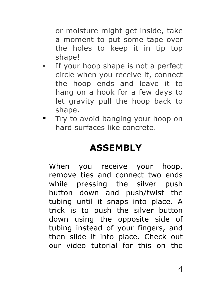or moisture might get inside, take a moment to put some tape over the holes to keep it in tip top shape!

- If your hoop shape is not a perfect circle when you receive it, connect the hoop ends and leave it to hang on a hook for a few days to let gravity pull the hoop back to shape.
- Try to avoid banging your hoop on hard surfaces like concrete.

## **ASSEMBLY**

When you receive your hoop, remove ties and connect two ends while pressing the silver push button down and push/twist the tubing until it snaps into place. A trick is to push the silver button down using the opposite side of tubing instead of your fingers, and then slide it into place. Check out our video tutorial for this on the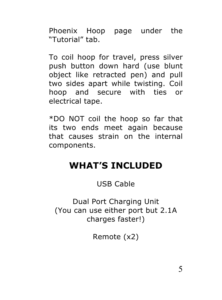Phoenix Hoop page under the "Tutorial" tab.

To coil hoop for travel, press silver push button down hard (use blunt object like retracted pen) and pull two sides apart while twisting. Coil hoop and secure with ties or electrical tape.

\*DO NOT coil the hoop so far that its two ends meet again because that causes strain on the internal components.

## **WHAT'S INCLUDED**

#### USB Cable

Dual Port Charging Unit (You can use either port but 2.1A charges faster!)

Remote (x2)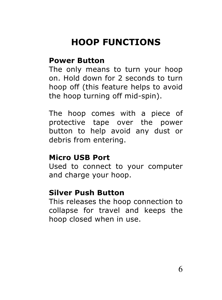# **HOOP FUNCTIONS**

#### **Power Button**

The only means to turn your hoop on. Hold down for 2 seconds to turn hoop off (this feature helps to avoid the hoop turning off mid-spin).

The hoop comes with a piece of protective tape over the power button to help avoid any dust or debris from entering.

#### **Micro USB Port**

Used to connect to your computer and charge your hoop.

#### **Silver Push Button**

This releases the hoop connection to collapse for travel and keeps the hoop closed when in use.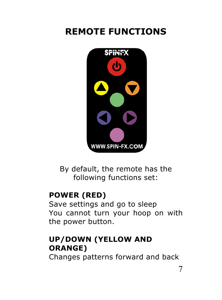## **REMOTE FUNCTIONS**



By default, the remote has the following functions set:

#### **POWER (RED)**

Save settings and go to sleep You cannot turn your hoop on with the power button.

## **UP/DOWN (YELLOW AND ORANGE)**

Changes patterns forward and back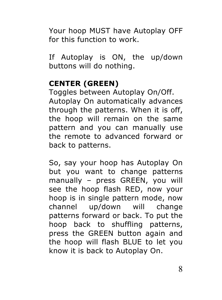Your hoop MUST have Autoplay OFF for this function to work.

If Autoplay is ON, the up/down buttons will do nothing.

#### **CENTER (GREEN)**

Toggles between Autoplay On/Off. Autoplay On automatically advances through the patterns. When it is off, the hoop will remain on the same pattern and you can manually use the remote to advanced forward or back to patterns.

So, say your hoop has Autoplay On but you want to change patterns manually – press GREEN, you will see the hoop flash RED, now your hoop is in single pattern mode, now channel up/down will change patterns forward or back. To put the hoop back to shuffling patterns, press the GREEN button again and the hoop will flash BLUE to let you know it is back to Autoplay On.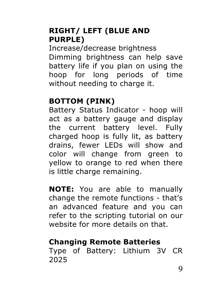#### **RIGHT/ LEFT (BLUE AND PURPLE)**

Increase/decrease brightness Dimming brightness can help save battery life if you plan on using the hoop for long periods of time without needing to charge it.

#### **BOTTOM (PINK)**

Battery Status Indicator - hoop will act as a battery gauge and display the current battery level. Fully charged hoop is fully lit, as battery drains, fewer LEDs will show and color will change from green to yellow to orange to red when there is little charge remaining.

**NOTE:** You are able to manually change the remote functions - that's an advanced feature and you can refer to the scripting tutorial on our website for more details on that.

### **Changing Remote Batteries**

Type of Battery: Lithium 3V CR 2025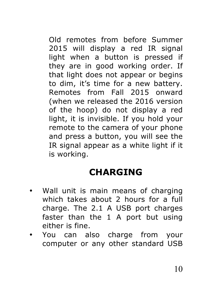Old remotes from before Summer 2015 will display a red IR signal light when a button is pressed if they are in good working order. If that light does not appear or begins to dim, it's time for a new battery. Remotes from Fall 2015 onward (when we released the 2016 version of the hoop) do not display a red light, it is invisible. If you hold your remote to the camera of your phone and press a button, you will see the IR signal appear as a white light if it is working.

# **CHARGING**

- Wall unit is main means of charging which takes about 2 hours for a full charge. The 2.1 A USB port charges faster than the 1 A port but using either is fine.
- You can also charge from your computer or any other standard USB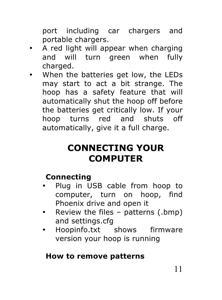port including car chargers and portable chargers.

- A red light will appear when charging and will turn green when fully charged.
- When the batteries get low, the LEDs may start to act a bit strange. The hoop has a safety feature that will automatically shut the hoop off before the batteries get critically low. If your hoop turns red and shuts off automatically, give it a full charge.

## **CONNECTING YOUR COMPUTER**

## **Connecting**

- Plug in USB cable from hoop to computer, turn on hoop, find Phoenix drive and open it
- Review the files patterns (.bmp) and settings.cfg
- Hoopinfo.txt shows firmware version your hoop is running

### **How to remove patterns**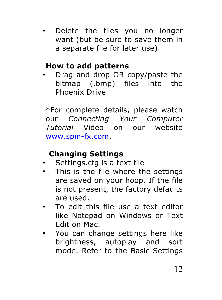Delete the files you no longer want (but be sure to save them in a separate file for later use)

#### **How to add patterns**

• Drag and drop OR copy/paste the bitmap (.bmp) files into the Phoenix Drive

\*For complete details, please watch our *Connecting Your Computer Tutorial* Video on our website www.spin-fx.com.

### **Changing Settings**

- Settings.cfg is a text file
- This is the file where the settings are saved on your hoop. If the file is not present, the factory defaults are used.
- To edit this file use a text editor like Notepad on Windows or Text Edit on Mac.
- You can change settings here like brightness, autoplay and sort mode. Refer to the Basic Settings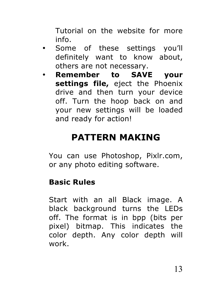Tutorial on the website for more info.

- Some of these settings you'll definitely want to know about, others are not necessary.
- **Remember to SAVE your settings file,** eject the Phoenix drive and then turn your device off. Turn the hoop back on and your new settings will be loaded and ready for action!

## **PATTERN MAKING**

You can use Photoshop, Pixlr.com, or any photo editing software.

#### **Basic Rules**

Start with an all Black image. A black background turns the LEDs off. The format is in bpp (bits per pixel) bitmap. This indicates the color depth. Any color depth will work.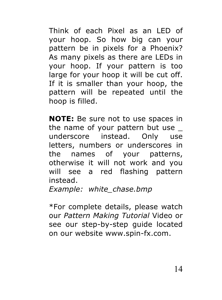Think of each Pixel as an LED of your hoop. So how big can your pattern be in pixels for a Phoenix? As many pixels as there are LEDs in your hoop. If your pattern is too large for your hoop it will be cut off. If it is smaller than your hoop, the pattern will be repeated until the hoop is filled.

**NOTE:** Be sure not to use spaces in the name of your pattern but use underscore instead. Only use letters, numbers or underscores in the names of your patterns, otherwise it will not work and you will see a red flashing pattern instead.

*Example: white\_chase.bmp*

\*For complete details, please watch our *Pattern Making Tutorial* Video or see our step-by-step guide located on our website www.spin-fx.com.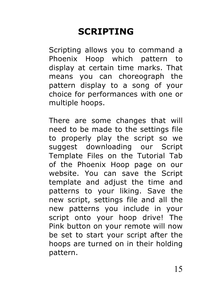# **SCRIPTING**

Scripting allows you to command a Phoenix Hoop which pattern to display at certain time marks. That means you can choreograph the pattern display to a song of your choice for performances with one or multiple hoops.

There are some changes that will need to be made to the settings file to properly play the script so we suggest downloading our Script Template Files on the Tutorial Tab of the Phoenix Hoop page on our website. You can save the Script template and adjust the time and patterns to your liking. Save the new script, settings file and all the new patterns you include in your script onto your hoop drive! The Pink button on your remote will now be set to start your script after the hoops are turned on in their holding pattern.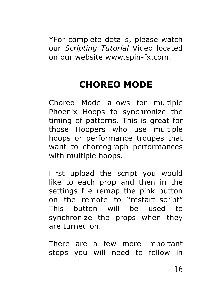\*For complete details, please watch our *Scripting Tutorial* Video located on our website www.spin-fx.com.

# **CHOREO MODE**

Choreo Mode allows for multiple Phoenix Hoops to synchronize the timing of patterns. This is great for those Hoopers who use multiple hoops or performance troupes that want to choreograph performances with multiple hoops.

First upload the script you would like to each prop and then in the settings file remap the pink button on the remote to "restart script" This button will be used to synchronize the props when they are turned on.

There are a few more important steps you will need to follow in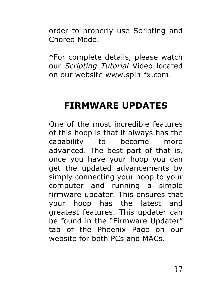order to properly use Scripting and Choreo Mode.

\*For complete details, please watch our *Scripting Tutorial* Video located on our website www.spin-fx.com.

## **FIRMWARE UPDATES**

One of the most incredible features of this hoop is that it always has the capability to become more advanced. The best part of that is, once you have your hoop you can get the updated advancements by simply connecting your hoop to your computer and running a simple firmware updater. This ensures that your hoop has the latest and greatest features. This updater can be found in the "Firmware Updater" tab of the Phoenix Page on our website for both PCs and MACs.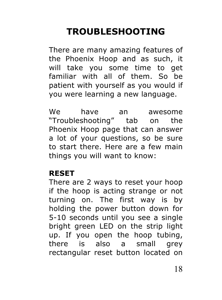# **TROUBLESHOOTING**

There are many amazing features of the Phoenix Hoop and as such, it will take you some time to get familiar with all of them. So be patient with yourself as you would if you were learning a new language.

We have an awesome "Troubleshooting" tab on the Phoenix Hoop page that can answer a lot of your questions, so be sure to start there. Here are a few main things you will want to know:

#### **RESET**

There are 2 ways to reset your hoop if the hoop is acting strange or not turning on. The first way is by holding the power button down for 5-10 seconds until you see a single bright green LED on the strip light up. If you open the hoop tubing, there is also a small grey rectangular reset button located on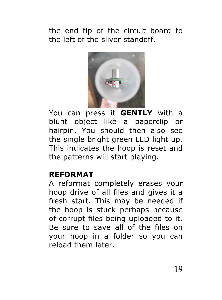the end tip of the circuit board to the left of the silver standoff.



You can press it **GENTLY** with a blunt object like a paperclip or hairpin. You should then also see the single bright green LED light up. This indicates the hoop is reset and the patterns will start playing.

#### **REFORMAT**

A reformat completely erases your hoop drive of all files and gives it a fresh start. This may be needed if the hoop is stuck perhaps because of corrupt files being uploaded to it. Be sure to save all of the files on your hoop in a folder so you can reload them later.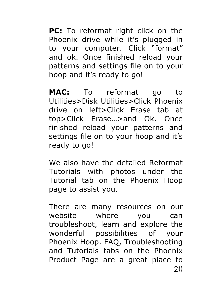**PC:** To reformat right click on the Phoenix drive while it's plugged in to your computer. Click "format" and ok. Once finished reload your patterns and settings file on to your hoop and it's ready to go!

**MAC:** To reformat go to Utilities>Disk Utilities>Click Phoenix drive on left>Click Erase tab at top>Click Erase…>and Ok. Once finished reload your patterns and settings file on to your hoop and it's ready to go!

We also have the detailed Reformat Tutorials with photos under the Tutorial tab on the Phoenix Hoop page to assist you.

20 There are many resources on our website where you can troubleshoot, learn and explore the wonderful possibilities of your Phoenix Hoop. FAQ, Troubleshooting and Tutorials tabs on the Phoenix Product Page are a great place to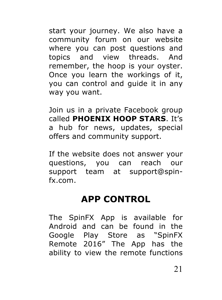start your journey. We also have a community forum on our website where you can post questions and topics and view threads. And remember, the hoop is your oyster. Once you learn the workings of it, you can control and guide it in any way you want.

Join us in a private Facebook group called **PHOENIX HOOP STARS**. It's a hub for news, updates, special offers and community support.

If the website does not answer your questions, you can reach our support team at support@spinfx.com.

## **APP CONTROL**

The SpinFX App is available for Android and can be found in the Google Play Store as "SpinFX Remote 2016" The App has the ability to view the remote functions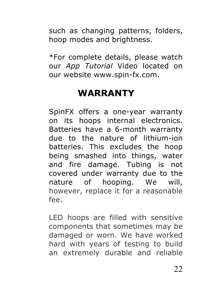such as changing patterns, folders, hoop modes and brightness.

\*For complete details, please watch our *App Tutorial* Video located on our website www.spin-fx.com.

## **WARRANTY**

SpinFX offers a one-year warranty on its hoops internal electronics. Batteries have a 6-month warranty due to the nature of lithium-ion batteries. This excludes the hoop being smashed into things, water and fire damage. Tubing is not covered under warranty due to the nature of hooping. We will, however, replace it for a reasonable fee.

LED hoops are filled with sensitive components that sometimes may be damaged or worn. We have worked hard with years of testing to build an extremely durable and reliable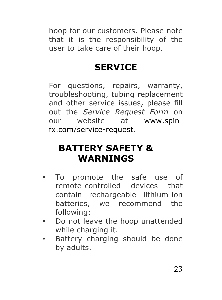hoop for our customers. Please note that it is the responsibility of the user to take care of their hoop.

## **SERVICE**

For questions, repairs, warranty, troubleshooting, tubing replacement and other service issues, please fill out the *Service Request Form* on our website at www.spinfx.com/service-request.

## **BATTERY SAFETY & WARNINGS**

- To promote the safe use of remote-controlled devices that contain rechargeable lithium-ion batteries, we recommend the following:
- Do not leave the hoop unattended while charging it.
- Battery charging should be done by adults.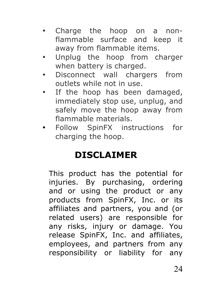- Charge the hoop on a nonflammable surface and keep it away from flammable items.
- Unplug the hoop from charger when battery is charged.
- Disconnect wall chargers from outlets while not in use.
- If the hoop has been damaged, immediately stop use, unplug, and safely move the hoop away from flammable materials.
- Follow SpinFX instructions for charging the hoop.

# **DISCLAIMER**

This product has the potential for injuries. By purchasing, ordering and or using the product or any products from SpinFX, Inc. or its affiliates and partners, you and (or related users) are responsible for any risks, injury or damage. You release SpinFX, Inc. and affiliates, employees, and partners from any responsibility or liability for any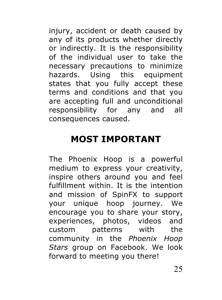injury, accident or death caused by any of its products whether directly or indirectly. It is the responsibility of the individual user to take the necessary precautions to minimize hazards. Using this equipment states that you fully accept these terms and conditions and that you are accepting full and unconditional responsibility for any and all consequences caused.

## **MOST IMPORTANT**

The Phoenix Hoop is a powerful medium to express your creativity, inspire others around you and feel fulfillment within. It is the intention and mission of SpinFX to support your unique hoop journey. We encourage you to share your story, experiences, photos, videos and custom patterns with the community in the *Phoenix Hoop Stars* group on Facebook. We look forward to meeting you there!